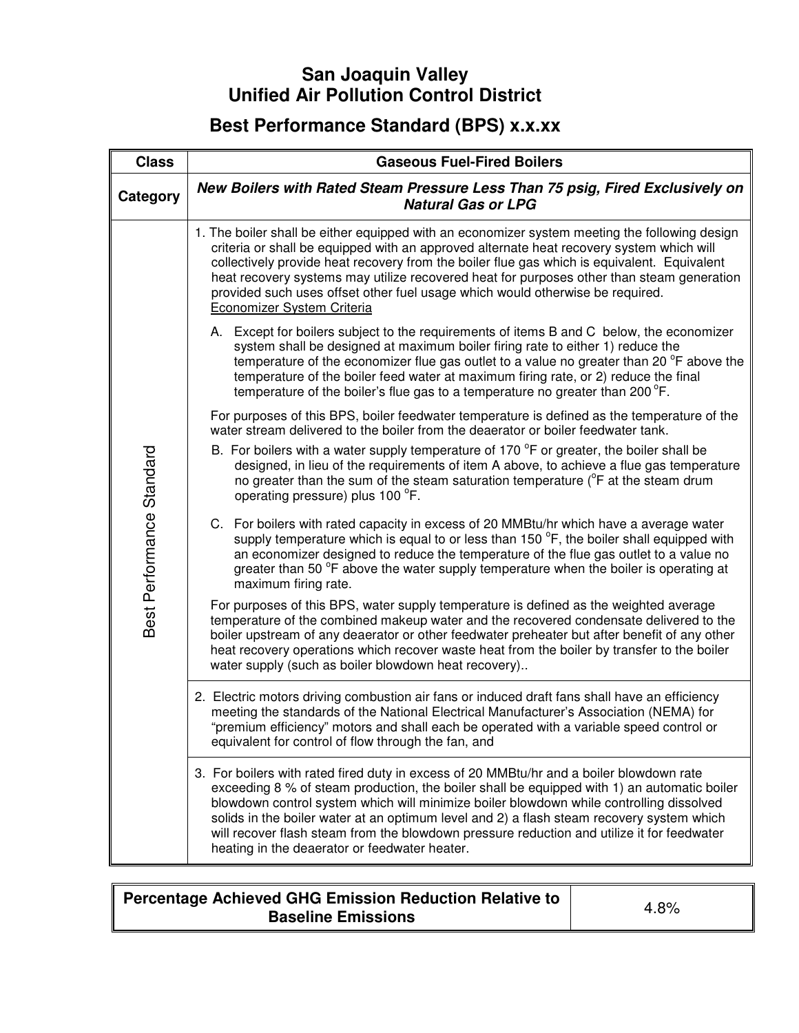## **San Joaquin Valley Unified Air Pollution Control District**

## **Best Performance Standard (BPS) x.x.xx**

| <b>Class</b>              | <b>Gaseous Fuel-Fired Boilers</b>                                                                                                                                                                                                                                                                                                                                                                                                                                                                                              |
|---------------------------|--------------------------------------------------------------------------------------------------------------------------------------------------------------------------------------------------------------------------------------------------------------------------------------------------------------------------------------------------------------------------------------------------------------------------------------------------------------------------------------------------------------------------------|
| Category                  | New Boilers with Rated Steam Pressure Less Than 75 psig, Fired Exclusively on<br><b>Natural Gas or LPG</b>                                                                                                                                                                                                                                                                                                                                                                                                                     |
| Best Performance Standard | 1. The boiler shall be either equipped with an economizer system meeting the following design<br>criteria or shall be equipped with an approved alternate heat recovery system which will<br>collectively provide heat recovery from the boiler flue gas which is equivalent. Equivalent<br>heat recovery systems may utilize recovered heat for purposes other than steam generation<br>provided such uses offset other fuel usage which would otherwise be required.<br>Economizer System Criteria                           |
|                           | A. Except for boilers subject to the requirements of items B and C below, the economizer<br>system shall be designed at maximum boiler firing rate to either 1) reduce the<br>temperature of the economizer flue gas outlet to a value no greater than 20 <sup>o</sup> F above the<br>temperature of the boiler feed water at maximum firing rate, or 2) reduce the final<br>temperature of the boiler's flue gas to a temperature no greater than 200 $\degree$ F.                                                            |
|                           | For purposes of this BPS, boiler feedwater temperature is defined as the temperature of the<br>water stream delivered to the boiler from the deaerator or boiler feedwater tank.                                                                                                                                                                                                                                                                                                                                               |
|                           | B. For boilers with a water supply temperature of 170 °F or greater, the boiler shall be<br>designed, in lieu of the requirements of item A above, to achieve a flue gas temperature<br>no greater than the sum of the steam saturation temperature ( <sup>o</sup> F at the steam drum<br>operating pressure) plus 100 °F.                                                                                                                                                                                                     |
|                           | C. For boilers with rated capacity in excess of 20 MMBtu/hr which have a average water<br>supply temperature which is equal to or less than 150 °F, the boiler shall equipped with<br>an economizer designed to reduce the temperature of the flue gas outlet to a value no<br>greater than 50 <sup>o</sup> F above the water supply temperature when the boiler is operating at<br>maximum firing rate.                                                                                                                       |
|                           | For purposes of this BPS, water supply temperature is defined as the weighted average<br>temperature of the combined makeup water and the recovered condensate delivered to the<br>boiler upstream of any deaerator or other feedwater preheater but after benefit of any other<br>heat recovery operations which recover waste heat from the boiler by transfer to the boiler<br>water supply (such as boiler blowdown heat recovery)                                                                                         |
|                           | 2. Electric motors driving combustion air fans or induced draft fans shall have an efficiency<br>meeting the standards of the National Electrical Manufacturer's Association (NEMA) for<br>"premium efficiency" motors and shall each be operated with a variable speed control or<br>equivalent for control of flow through the fan, and                                                                                                                                                                                      |
|                           | 3. For boilers with rated fired duty in excess of 20 MMBtu/hr and a boiler blowdown rate<br>exceeding 8 % of steam production, the boiler shall be equipped with 1) an automatic boiler<br>blowdown control system which will minimize boiler blowdown while controlling dissolved<br>solids in the boiler water at an optimum level and 2) a flash steam recovery system which<br>will recover flash steam from the blowdown pressure reduction and utilize it for feedwater<br>heating in the deaerator or feedwater heater. |

## **Percentage Achieved GHG Emission Reduction Relative to Baseline Emissions** 4.8%